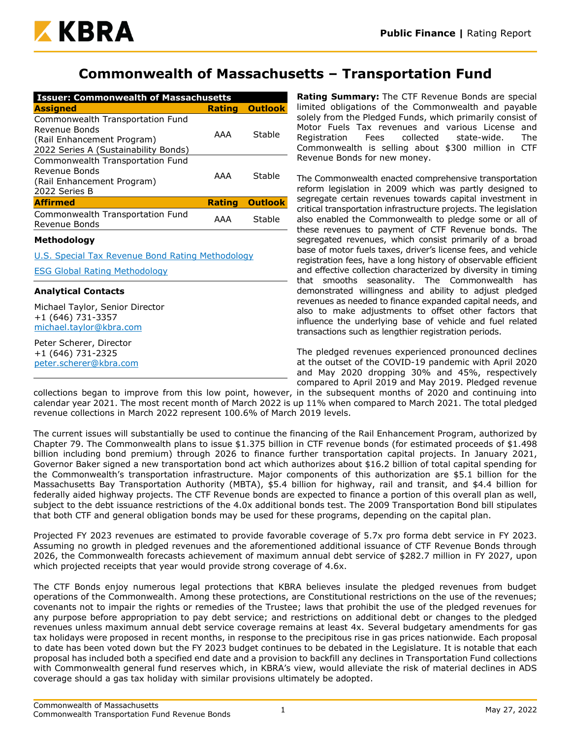

## **Commonwealth of Massachusetts – Transportation Fund**

| <b>Issuer: Commonwealth of Massachusetts</b>                                                                            |               |                |  |  |  |  |  |  |
|-------------------------------------------------------------------------------------------------------------------------|---------------|----------------|--|--|--|--|--|--|
| <b>Assigned</b>                                                                                                         | <b>Rating</b> | <b>Outlook</b> |  |  |  |  |  |  |
| Commonwealth Transportation Fund<br>Revenue Bonds<br>(Rail Enhancement Program)<br>2022 Series A (Sustainability Bonds) | AAA           | Stable         |  |  |  |  |  |  |
| Commonwealth Transportation Fund<br>Revenue Bonds<br>(Rail Enhancement Program)<br>2022 Series B                        | AAA           | Stable         |  |  |  |  |  |  |
| <b>Affirmed</b>                                                                                                         | <b>Rating</b> | <b>Outlook</b> |  |  |  |  |  |  |
| Commonwealth Transportation Fund<br>Revenue Bonds                                                                       | AAA           | Stable         |  |  |  |  |  |  |

#### **Methodology**

[U.S. Special Tax Revenue Bond Rating Methodology](https://www.kbra.com/documents/report/197/public-finance-u-s-special-tax-revenue-bond-rating-methodology)

[ESG Global Rating Methodology](https://www.kbra.com/documents/report/47746/esg-global-rating-methodology)

#### **Analytical Contacts**

Michael Taylor, Senior Director +1 (646) 731-3357 [michael.taylor@kbra.com](mailto:michael.taylor@kbra.com)

Peter Scherer, Director +1 (646) 731-2325 [peter.scherer@kbra.com](mailto:peter.scherer@kbra.com) **Rating Summary:** The CTF Revenue Bonds are special limited obligations of the Commonwealth and payable solely from the Pledged Funds, which primarily consist of Motor Fuels Tax revenues and various License and Registration Fees collected state-wide. The Commonwealth is selling about \$300 million in CTF Revenue Bonds for new money.

The Commonwealth enacted comprehensive transportation reform legislation in 2009 which was partly designed to segregate certain revenues towards capital investment in critical transportation infrastructure projects. The legislation also enabled the Commonwealth to pledge some or all of these revenues to payment of CTF Revenue bonds. The segregated revenues, which consist primarily of a broad base of motor fuels taxes, driver's license fees, and vehicle registration fees, have a long history of observable efficient and effective collection characterized by diversity in timing that smooths seasonality. The Commonwealth has demonstrated willingness and ability to adjust pledged revenues as needed to finance expanded capital needs, and also to make adjustments to offset other factors that influence the underlying base of vehicle and fuel related transactions such as lengthier registration periods.

The pledged revenues experienced pronounced declines at the outset of the COVID-19 pandemic with April 2020 and May 2020 dropping 30% and 45%, respectively compared to April 2019 and May 2019. Pledged revenue

collections began to improve from this low point, however, in the subsequent months of 2020 and continuing into calendar year 2021. The most recent month of March 2022 is up 11% when compared to March 2021. The total pledged revenue collections in March 2022 represent 100.6% of March 2019 levels.

The current issues will substantially be used to continue the financing of the Rail Enhancement Program, authorized by Chapter 79. The Commonwealth plans to issue \$1.375 billion in CTF revenue bonds (for estimated proceeds of \$1.498 billion including bond premium) through 2026 to finance further transportation capital projects. In January 2021, Governor Baker signed a new transportation bond act which authorizes about \$16.2 billion of total capital spending for the Commonwealth's transportation infrastructure. Major components of this authorization are \$5.1 billion for the Massachusetts Bay Transportation Authority (MBTA), \$5.4 billion for highway, rail and transit, and \$4.4 billion for federally aided highway projects. The CTF Revenue bonds are expected to finance a portion of this overall plan as well, subject to the debt issuance restrictions of the 4.0x additional bonds test. The 2009 Transportation Bond bill stipulates that both CTF and general obligation bonds may be used for these programs, depending on the capital plan.

Projected FY 2023 revenues are estimated to provide favorable coverage of 5.7x pro forma debt service in FY 2023. Assuming no growth in pledged revenues and the aforementioned additional issuance of CTF Revenue Bonds through 2026, the Commonwealth forecasts achievement of maximum annual debt service of \$282.7 million in FY 2027, upon which projected receipts that year would provide strong coverage of 4.6x.

The CTF Bonds enjoy numerous legal protections that KBRA believes insulate the pledged revenues from budget operations of the Commonwealth. Among these protections, are Constitutional restrictions on the use of the revenues; covenants not to impair the rights or remedies of the Trustee; laws that prohibit the use of the pledged revenues for any purpose before appropriation to pay debt service; and restrictions on additional debt or changes to the pledged revenues unless maximum annual debt service coverage remains at least 4x. Several budgetary amendments for gas tax holidays were proposed in recent months, in response to the precipitous rise in gas prices nationwide. Each proposal to date has been voted down but the FY 2023 budget continues to be debated in the Legislature. It is notable that each proposal has included both a specified end date and a provision to backfill any declines in Transportation Fund collections with Commonwealth general fund reserves which, in KBRA's view, would alleviate the risk of material declines in ADS coverage should a gas tax holiday with similar provisions ultimately be adopted.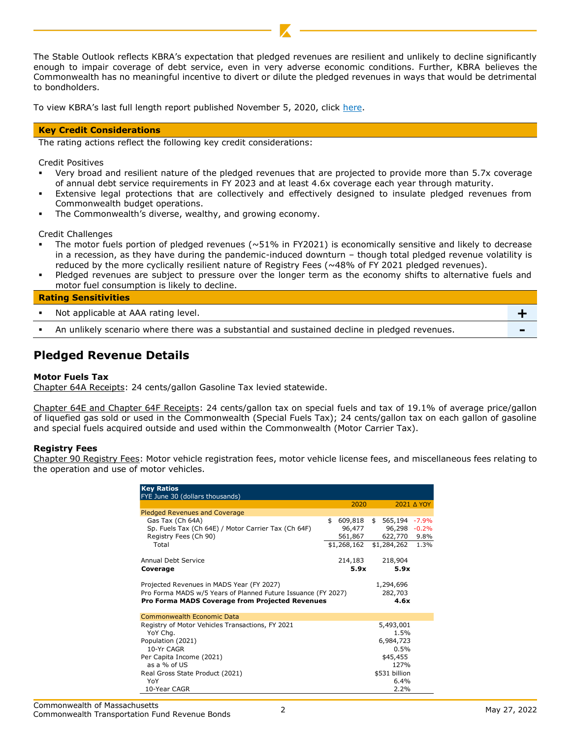The Stable Outlook reflects KBRA's expectation that pledged revenues are resilient and unlikely to decline significantly enough to impair coverage of debt service, even in very adverse economic conditions. Further, KBRA believes the Commonwealth has no meaningful incentive to divert or dilute the pledged revenues in ways that would be detrimental to bondholders.

To view KBRA's last full length report published November 5, 2020, click [here.](https://www.kbra.com/documents/report/41068/public-finance-commonwealth-of-massachusetts-commonwealth-transportation-fund-revenue-bonds-surveillance-report)

#### **Key Credit Considerations**

The rating actions reflect the following key credit considerations:

Credit Positives

- Very broad and resilient nature of the pledged revenues that are projected to provide more than 5.7x coverage of annual debt service requirements in FY 2023 and at least 4.6x coverage each year through maturity.
- Extensive legal protections that are collectively and effectively designed to insulate pledged revenues from Commonwealth budget operations.
- The Commonwealth's diverse, wealthy, and growing economy.

Credit Challenges

- The motor fuels portion of pledged revenues ( $\sim$ 51% in FY2021) is economically sensitive and likely to decrease in a recession, as they have during the pandemic-induced downturn – though total pledged revenue volatility is reduced by the more cyclically resilient nature of Registry Fees (~48% of FY 2021 pledged revenues).
- Pledged revenues are subject to pressure over the longer term as the economy shifts to alternative fuels and motor fuel consumption is likely to decline.

#### **Rating Sensitivities**

| _______________________                                                                       |  |
|-----------------------------------------------------------------------------------------------|--|
| Not applicable at AAA rating level.                                                           |  |
| An unlikely scenario where there was a substantial and sustained decline in pledged revenues. |  |

## **Pledged Revenue Details**

#### **Motor Fuels Tax**

Chapter 64A Receipts: 24 cents/gallon Gasoline Tax levied statewide.

Chapter 64E and Chapter 64F Receipts: 24 cents/gallon tax on special fuels and tax of 19.1% of average price/gallon of liquefied gas sold or used in the Commonwealth (Special Fuels Tax); 24 cents/gallon tax on each gallon of gasoline and special fuels acquired outside and used within the Commonwealth (Motor Carrier Tax).

#### **Registry Fees**

Chapter 90 Registry Fees: Motor vehicle registration fees, motor vehicle license fees, and miscellaneous fees relating to the operation and use of motor vehicles.

| <b>Key Ratios</b><br>FYE June 30 (dollars thousands)          |             |                          |            |
|---------------------------------------------------------------|-------------|--------------------------|------------|
|                                                               | 2020        |                          | 2021 A YOY |
| <b>Pledged Revenues and Coverage</b>                          |             |                          |            |
| Gas Tax (Ch 64A)                                              | \$          | 609,818 \$ 565,194 -7.9% |            |
| Sp. Fuels Tax (Ch 64E) / Motor Carrier Tax (Ch 64F)           | 96,477      | 96,298                   | $-0.2%$    |
| Registry Fees (Ch 90)                                         | 561,867     | 622,770 9.8%             |            |
| Total                                                         | \$1,268,162 | \$1,284,262              | 1.3%       |
| Annual Debt Service                                           | 214,183     | 218,904                  |            |
| Coverage                                                      | 5.9x        | 5.9x                     |            |
| Projected Revenues in MADS Year (FY 2027)                     |             | 1,294,696                |            |
| Pro Forma MADS w/5 Years of Planned Future Issuance (FY 2027) |             | 282,703                  |            |
| Pro Forma MADS Coverage from Projected Revenues               |             | 4.6x                     |            |
| Commonwealth Economic Data                                    |             |                          |            |
| Registry of Motor Vehicles Transactions, FY 2021              |             | 5,493,001                |            |
| YoY Chg.                                                      |             | 1.5%                     |            |
| Population (2021)                                             |             | 6,984,723                |            |
| 10-Yr CAGR                                                    |             | 0.5%                     |            |
| Per Capita Income (2021)                                      |             | \$45,455                 |            |
| as a % of US                                                  |             | 127%                     |            |
| Real Gross State Product (2021)                               |             | \$531 billion            |            |
| YoY                                                           |             | 6.4%                     |            |
| 10-Year CAGR                                                  |             | 2.2%                     |            |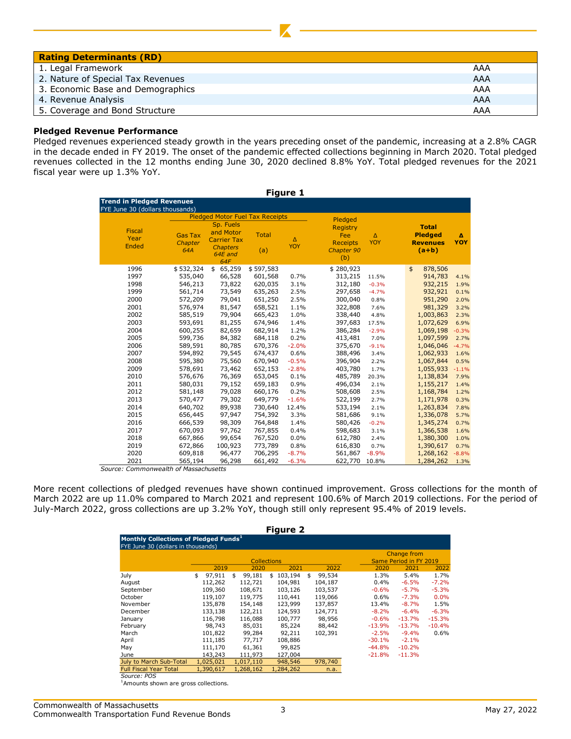| <b>Rating Determinants (RD)</b>   |     |
|-----------------------------------|-----|
| 1. Legal Framework                | AAA |
| 2. Nature of Special Tax Revenues | AAA |
| 3. Economic Base and Demographics | AAA |
| 4. Revenue Analysis               | AAA |
| 5. Coverage and Bond Structure    | AAA |

#### **Pledged Revenue Performance**

Pledged revenues experienced steady growth in the years preceding onset of the pandemic, increasing at a 2.8% CAGR in the decade ended in FY 2019. The onset of the pandemic effected collections beginning in March 2020. Total pledged revenues collected in the 12 months ending June 30, 2020 declined 8.8% YoY. Total pledged revenues for the 2021 fiscal year were up 1.3% YoY.

| <b>Figure 1</b>                       |                                  |                                                                                   |                     |                        |                                                                |                        |                                                              |          |  |  |  |  |
|---------------------------------------|----------------------------------|-----------------------------------------------------------------------------------|---------------------|------------------------|----------------------------------------------------------------|------------------------|--------------------------------------------------------------|----------|--|--|--|--|
| <b>Trend in Pledged Revenues</b>      |                                  |                                                                                   |                     |                        |                                                                |                        |                                                              |          |  |  |  |  |
| FYE June 30 (dollars thousands)       |                                  |                                                                                   |                     |                        |                                                                |                        |                                                              |          |  |  |  |  |
|                                       |                                  | <b>Pledged Motor Fuel Tax Receipts</b>                                            |                     |                        | Pledged                                                        |                        |                                                              |          |  |  |  |  |
| <b>Fiscal</b><br>Year<br><b>Ended</b> | <b>Gas Tax</b><br>Chapter<br>64A | Sp. Fuels<br>and Motor<br><b>Carrier Tax</b><br><b>Chapters</b><br>64E and<br>64F | <b>Total</b><br>(a) | $\Delta$<br><b>YOY</b> | <b>Registry</b><br>Fee<br><b>Receipts</b><br>Chapter 90<br>(b) | $\Delta$<br><b>YOY</b> | <b>Total</b><br><b>Pledged</b><br><b>Revenues</b><br>$(a+b)$ | Δ<br>YOY |  |  |  |  |
| 1996                                  | \$532,324                        | \$65,259                                                                          | \$597,583           |                        | \$280,923                                                      |                        | \$<br>878,506                                                |          |  |  |  |  |
| 1997                                  | 535,040                          | 66,528                                                                            | 601,568             | 0.7%                   | 313,215                                                        | 11.5%                  | 914,783                                                      | 4.1%     |  |  |  |  |
| 1998                                  | 546,213                          | 73,822                                                                            | 620,035             | 3.1%                   | 312,180                                                        | $-0.3%$                | 932,215                                                      | 1.9%     |  |  |  |  |
| 1999                                  | 561,714                          | 73,549                                                                            | 635,263             | 2.5%                   | 297,658                                                        | $-4.7%$                | 932,921                                                      | 0.1%     |  |  |  |  |
| 2000                                  | 572,209                          | 79,041                                                                            | 651,250             | 2.5%                   | 300,040                                                        | 0.8%                   | 951,290                                                      | 2.0%     |  |  |  |  |
| 2001                                  | 576,974                          | 81,547                                                                            | 658,521             | 1.1%                   | 322,808                                                        | 7.6%                   | 981,329                                                      | 3.2%     |  |  |  |  |
| 2002                                  | 585,519                          | 79,904                                                                            | 665,423             | 1.0%                   | 338,440                                                        | 4.8%                   | 1,003,863                                                    | 2.3%     |  |  |  |  |
| 2003                                  | 593,691                          | 81,255                                                                            | 674,946             | 1.4%                   | 397,683                                                        | 17.5%                  | 1,072,629                                                    | 6.9%     |  |  |  |  |
| 2004                                  | 600,255                          | 82,659                                                                            | 682,914             | 1.2%                   | 386,284                                                        | $-2.9%$                | 1,069,198                                                    | $-0.3%$  |  |  |  |  |
| 2005                                  | 599,736                          | 84,382                                                                            | 684,118             | 0.2%                   | 413,481                                                        | 7.0%                   | 1,097,599                                                    | 2.7%     |  |  |  |  |
| 2006                                  | 589,591                          | 80,785                                                                            | 670,376             | $-2.0%$                | 375,670                                                        | $-9.1%$                | 1,046,046                                                    | $-4.7%$  |  |  |  |  |
| 2007                                  | 594,892                          | 79,545                                                                            | 674,437             | 0.6%                   | 388,496                                                        | 3.4%                   | 1,062,933                                                    | 1.6%     |  |  |  |  |
| 2008                                  | 595,380                          | 75,560                                                                            | 670,940             | $-0.5%$                | 396,904                                                        | 2.2%                   | 1,067,844                                                    | 0.5%     |  |  |  |  |
| 2009                                  | 578,691                          | 73,462                                                                            | 652,153             | $-2.8%$                | 403,780                                                        | 1.7%                   | 1,055,933                                                    | $-1.1%$  |  |  |  |  |
| 2010                                  | 576,676                          | 76,369                                                                            | 653,045             | 0.1%                   | 485,789                                                        | 20.3%                  | 1,138,834                                                    | 7.9%     |  |  |  |  |
| 2011                                  | 580,031                          | 79,152                                                                            | 659,183             | 0.9%                   | 496,034                                                        | 2.1%                   | 1,155,217                                                    | 1.4%     |  |  |  |  |
| 2012                                  | 581,148                          | 79,028                                                                            | 660,176             | 0.2%                   | 508,608                                                        | 2.5%                   | 1,168,784                                                    | 1.2%     |  |  |  |  |
| 2013                                  | 570,477                          | 79,302                                                                            | 649,779             | $-1.6%$                | 522,199                                                        | 2.7%                   | 1,171,978                                                    | 0.3%     |  |  |  |  |
| 2014                                  | 640,702                          | 89,938                                                                            | 730,640             | 12.4%                  | 533,194                                                        | 2.1%                   | 1,263,834                                                    | 7.8%     |  |  |  |  |
| 2015                                  | 656,445                          | 97,947                                                                            | 754,392             | 3.3%                   | 581,686                                                        | 9.1%                   | 1,336,078                                                    | 5.7%     |  |  |  |  |
| 2016                                  | 666,539                          | 98,309                                                                            | 764,848             | 1.4%                   | 580,426                                                        | $-0.2%$                | 1,345,274                                                    | 0.7%     |  |  |  |  |
| 2017                                  | 670,093                          | 97,762                                                                            | 767,855             | 0.4%                   | 598,683                                                        | 3.1%                   | 1,366,538                                                    | 1.6%     |  |  |  |  |
| 2018                                  | 667,866                          | 99,654                                                                            | 767,520             | 0.0%                   | 612,780                                                        | 2.4%                   | 1,380,300                                                    | 1.0%     |  |  |  |  |
| 2019                                  | 672,866                          | 100,923                                                                           | 773,789             | 0.8%                   | 616,830                                                        | 0.7%                   | 1,390,617                                                    | 0.7%     |  |  |  |  |
| 2020                                  | 609,818                          | 96,477                                                                            | 706,295             | $-8.7%$                | 561,867                                                        | $-8.9%$                | 1,268,162                                                    | $-8.8%$  |  |  |  |  |
| 2021                                  | 565,194                          | 96,298                                                                            | 661,492             | $-6.3%$                | 622,770                                                        | 10.8%                  | 1,284,262                                                    | 1.3%     |  |  |  |  |

*Source: Commonwealth of Massachusetts*

More recent collections of pledged revenues have shown continued improvement. Gross collections for the month of March 2022 are up 11.0% compared to March 2021 and represent 100.6% of March 2019 collections. For the period of July-March 2022, gross collections are up 3.2% YoY, though still only represent 95.4% of 2019 levels.

| <b>Figure 2</b>                                                                         |    |           |    |                    |    |           |    |         |  |          |                        |          |
|-----------------------------------------------------------------------------------------|----|-----------|----|--------------------|----|-----------|----|---------|--|----------|------------------------|----------|
| Monthly Collections of Pledged Funds <sup>1</sup><br>FYE June 30 (dollars in thousands) |    |           |    |                    |    |           |    |         |  |          |                        |          |
|                                                                                         |    |           |    |                    |    |           |    |         |  |          | Change from            |          |
|                                                                                         |    |           |    | <b>Collections</b> |    |           |    |         |  |          | Same Period in FY 2019 |          |
|                                                                                         |    | 2019      |    | 2020               |    | 2021      |    | 2022    |  | 2020     | 2021                   | 2022     |
| July                                                                                    | \$ | 97.911    | \$ | 99,181             | \$ | 103,194   | \$ | 99,534  |  | 1.3%     | 5.4%                   | 1.7%     |
| August                                                                                  |    | 112,262   |    | 112,721            |    | 104,981   |    | 104,187 |  | $0.4\%$  | $-6.5%$                | $-7.2%$  |
| September                                                                               |    | 109,360   |    | 108,671            |    | 103,126   |    | 103,537 |  | $-0.6%$  | $-5.7%$                | $-5.3%$  |
| October                                                                                 |    | 119,107   |    | 119,775            |    | 110,441   |    | 119,066 |  | $0.6\%$  | $-7.3%$                | 0.0%     |
| November                                                                                |    | 135,878   |    | 154,148            |    | 123,999   |    | 137,857 |  | 13.4%    | $-8.7%$                | 1.5%     |
| December                                                                                |    | 133,138   |    | 122,211            |    | 124,593   |    | 124,771 |  | $-8.2%$  | $-6.4%$                | $-6.3%$  |
| January                                                                                 |    | 116,798   |    | 116,088            |    | 100,777   |    | 98,956  |  | $-0.6%$  | $-13.7%$               | $-15.3%$ |
| February                                                                                |    | 98,743    |    | 85,031             |    | 85,224    |    | 88,442  |  | $-13.9%$ | $-13.7%$               | $-10.4%$ |
| March                                                                                   |    | 101,822   |    | 99,284             |    | 92,211    |    | 102,391 |  | $-2.5%$  | $-9.4%$                | 0.6%     |
| April                                                                                   |    | 111,185   |    | 77,717             |    | 108,886   |    |         |  | $-30.1%$ | $-2.1%$                |          |
| May                                                                                     |    | 111,170   |    | 61,361             |    | 99,825    |    |         |  | $-44.8%$ | $-10.2%$               |          |
| June                                                                                    |    | 143,243   |    | 111,973            |    | 127,004   |    |         |  | $-21.8%$ | $-11.3%$               |          |
| July to March Sub-Total                                                                 |    | 1,025,021 |    | 1,017,110          |    | 948,546   |    | 978,740 |  |          |                        |          |
| <b>Full Fiscal Year Total</b>                                                           |    | 1,390,617 |    | 1,268,162          |    | 1,284,262 |    | n.a.    |  |          |                        |          |
| Source: POS                                                                             |    |           |    |                    |    |           |    |         |  |          |                        |          |

<sup>1</sup>Amounts shown are gross collections.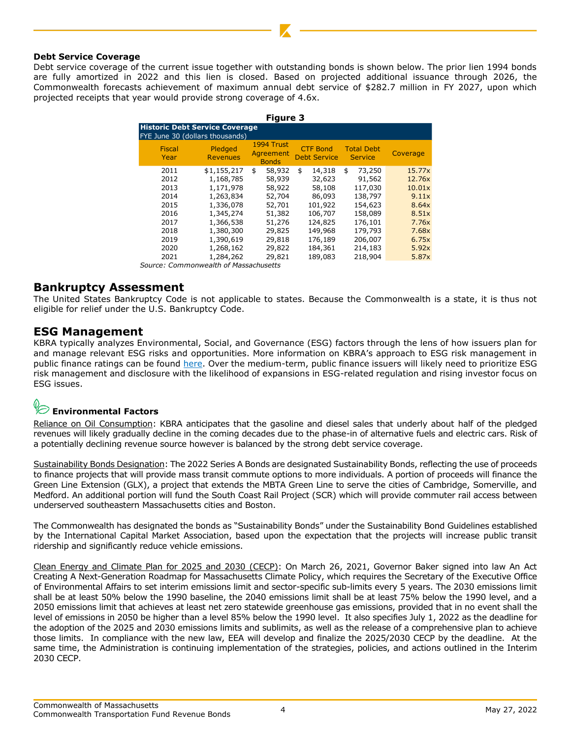#### **Debt Service Coverage**

Debt service coverage of the current issue together with outstanding bonds is shown below. The prior lien 1994 bonds are fully amortized in 2022 and this lien is closed. Based on projected additional issuance through 2026, the Commonwealth forecasts achievement of maximum annual debt service of \$282.7 million in FY 2027, upon which projected receipts that year would provide strong coverage of 4.6x.

|                                       |                            | <b>Figure 3</b>                         |                                        |                                     |          |  |  |  |  |  |  |
|---------------------------------------|----------------------------|-----------------------------------------|----------------------------------------|-------------------------------------|----------|--|--|--|--|--|--|
| <b>Historic Debt Service Coverage</b> |                            |                                         |                                        |                                     |          |  |  |  |  |  |  |
| FYE June 30 (dollars thousands)       |                            |                                         |                                        |                                     |          |  |  |  |  |  |  |
| <b>Fiscal</b><br>Year                 | Pledged<br><b>Revenues</b> | 1994 Trust<br>Agreement<br><b>Bonds</b> | <b>CTF Bond</b><br><b>Debt Service</b> | <b>Total Debt</b><br><b>Service</b> | Coverage |  |  |  |  |  |  |
| 2011                                  | \$1,155,217                | \$<br>58,932                            | 14,318<br>\$                           | 73,250<br>\$                        | 15.77x   |  |  |  |  |  |  |
| 2012                                  | 1,168,785                  | 58,939                                  | 32,623                                 | 91,562                              | 12.76x   |  |  |  |  |  |  |
| 2013                                  | 1,171,978                  | 58,922                                  | 58,108                                 | 117,030                             | 10.01x   |  |  |  |  |  |  |
| 2014                                  | 1,263,834                  | 52,704                                  | 86,093                                 | 138,797                             | 9.11x    |  |  |  |  |  |  |
| 2015                                  | 1,336,078                  | 52,701                                  | 101,922                                | 154,623                             | 8.64x    |  |  |  |  |  |  |
| 2016                                  | 1,345,274                  | 51,382                                  | 106,707                                | 158,089                             | 8.51x    |  |  |  |  |  |  |
| 2017                                  | 1,366,538                  | 51,276                                  | 124,825                                | 176,101                             | 7.76x    |  |  |  |  |  |  |
| 2018                                  | 1,380,300                  | 29,825                                  | 149,968                                | 179,793                             | 7.68x    |  |  |  |  |  |  |
| 2019                                  | 1,390,619                  | 29,818                                  | 176,189                                | 206,007                             | 6.75x    |  |  |  |  |  |  |
| 2020                                  | 1,268,162                  | 29,822                                  | 184,361                                | 214,183                             | 5.92x    |  |  |  |  |  |  |
| 2021                                  | 1,284,262                  | 29,821                                  | 189,083                                | 218,904                             | 5.87x    |  |  |  |  |  |  |

*Source: Commonwealth of Massachusetts*

## **Bankruptcy Assessment**

The United States Bankruptcy Code is not applicable to states. Because the Commonwealth is a state, it is thus not eligible for relief under the U.S. Bankruptcy Code.

### **ESG Management**

KBRA typically analyzes Environmental, Social, and Governance (ESG) factors through the lens of how issuers plan for and manage relevant ESG risks and opportunities. More information on KBRA's approach to ESG risk management in public finance ratings can be found [here.](https://www.kbra.com/documents/report/56672/states-kbra-s-framework-for-incorporating-esg-risk-management-in-credit-ratings) Over the medium-term, public finance issuers will likely need to prioritize ESG risk management and disclosure with the likelihood of expansions in ESG-related regulation and rising investor focus on ESG issues.

# **Environmental Factors**

Reliance on Oil Consumption: KBRA anticipates that the gasoline and diesel sales that underly about half of the pledged revenues will likely gradually decline in the coming decades due to the phase-in of alternative fuels and electric cars. Risk of a potentially declining revenue source however is balanced by the strong debt service coverage.

Sustainability Bonds Designation: The 2022 Series A Bonds are designated Sustainability Bonds, reflecting the use of proceeds to finance projects that will provide mass transit commute options to more individuals. A portion of proceeds will finance the Green Line Extension (GLX), a project that extends the MBTA Green Line to serve the cities of Cambridge, Somerville, and Medford. An additional portion will fund the South Coast Rail Project (SCR) which will provide commuter rail access between underserved southeastern Massachusetts cities and Boston.

The Commonwealth has designated the bonds as "Sustainability Bonds" under the Sustainability Bond Guidelines established by the International Capital Market Association, based upon the expectation that the projects will increase public transit ridership and significantly reduce vehicle emissions.

Clean Energy and Climate Plan for 2025 and 2030 (CECP): On March 26, 2021, Governor Baker signed into law An Act Creating A Next-Generation Roadmap for Massachusetts Climate Policy, which requires the Secretary of the Executive Office of Environmental Affairs to set interim emissions limit and sector-specific sub-limits every 5 years. The 2030 emissions limit shall be at least 50% below the 1990 baseline, the 2040 emissions limit shall be at least 75% below the 1990 level, and a 2050 emissions limit that achieves at least net zero statewide greenhouse gas emissions, provided that in no event shall the level of emissions in 2050 be higher than a level 85% below the 1990 level. It also specifies July 1, 2022 as the deadline for the adoption of the 2025 and 2030 emissions limits and sublimits, as well as the release of a comprehensive plan to achieve those limits. In compliance with the new law, EEA will develop and finalize the 2025/2030 CECP by the deadline. At the same time, the Administration is continuing implementation of the strategies, policies, and actions outlined in the Interim 2030 CECP.